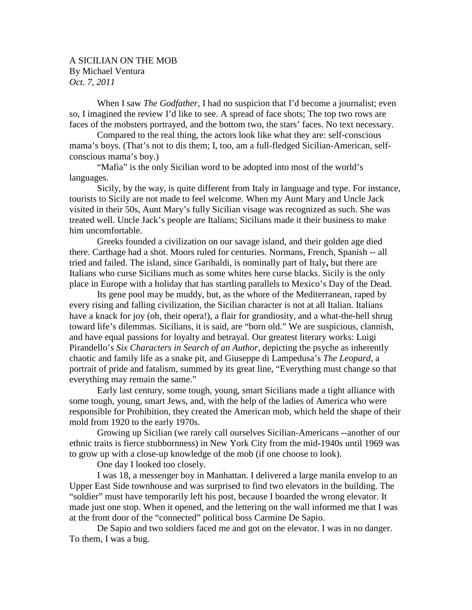## A SICILIAN ON THE MOB By Michael Ventura *Oct. 7, 2011*

When I saw *The Godfather,* I had no suspicion that I'd become a journalist; even so, I imagined the review I'd like to see. A spread of face shots; The top two rows are faces of the mobsters portrayed, and the bottom two, the stars' faces. No text necessary.

Compared to the real thing, the actors look like what they are: self-conscious mama's boys. (That's not to dis them; I, too, am a full-fledged Sicilian-American, selfconscious mama's boy.)

"Mafia" is the only Sicilian word to be adopted into most of the world's languages.

Sicily, by the way, is quite different from Italy in language and type. For instance, tourists to Sicily are not made to feel welcome. When my Aunt Mary and Uncle Jack visited in their 50s, Aunt Mary's fully Sicilian visage was recognized as such. She was treated well. Uncle Jack's people are Italians; Sicilians made it their business to make him uncomfortable.

Greeks founded a civilization on our savage island, and their golden age died there. Carthage had a shot. Moors ruled for centuries. Normans, French, Spanish -- all tried and failed. The island, since Garibaldi, is nominally part of Italy**,** but there are Italians who curse Sicilians much as some whites here curse blacks. Sicily is the only place in Europe with a holiday that has startling parallels to Mexico's Day of the Dead.

Its gene pool may be muddy, but, as the whore of the Mediterranean, raped by every rising and falling civilization, the Sicilian character is not at all Italian. Italians have a knack for joy (oh, their opera!), a flair for grandiosity, and a what-the-hell shrug toward life's dilemmas. Sicilians, it is said, are "born old." We are suspicious, clannish, and have equal passions for loyalty and betrayal. Our greatest literary works: Luigi Pirandello's *Six Characters in Search of an Author,* depicting the psyche as inherently chaotic and family life as a snake pit, and Giuseppe di Lampedusa's *The Leopard*, a portrait of pride and fatalism, summed by its great line, "Everything must change so that everything may remain the same."

Early last century, some tough, young, smart Sicilians made a tight alliance with some tough, young, smart Jews, and, with the help of the ladies of America who were responsible for Prohibition, they created the American mob, which held the shape of their mold from 1920 to the early 1970s.

Growing up Sicilian (we rarely call ourselves Sicilian-Americans --another of our ethnic traits is fierce stubbornness) in New York City from the mid-1940s until 1969 was to grow up with a close-up knowledge of the mob (if one choose to look).

One day I looked too closely.

I was 18, a messenger boy in Manhattan. I delivered a large manila envelop to an Upper East Side townhouse and was surprised to find two elevators in the building. The "soldier" must have temporarily left his post, because I boarded the wrong elevator. It made just one stop. When it opened, and the lettering on the wall informed me that I was at the front door of the "connected" political boss Carmine De Sapio.

De Sapio and two soldiers faced me and got on the elevator. I was in no danger. To them, I was a bug.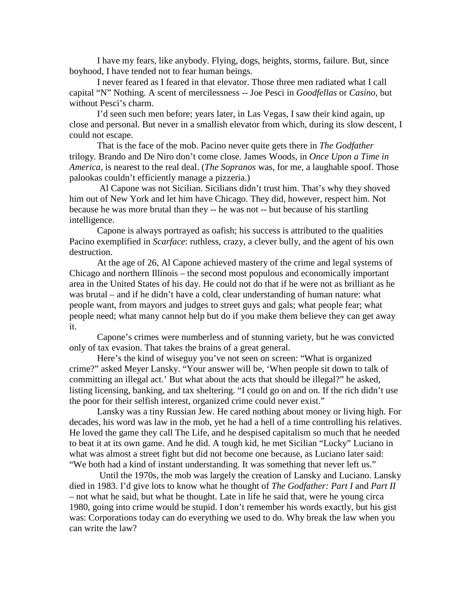I have my fears, like anybody. Flying, dogs, heights, storms, failure. But, since boyhood, I have tended not to fear human beings.

I never feared as I feared in that elevator. Those three men radiated what I call capital "N" Nothing. A scent of mercilessness -- Joe Pesci in *Goodfellas* or *Casino,* but without Pesci's charm.

I'd seen such men before; years later, in Las Vegas, I saw their kind again, up close and personal. But never in a smallish elevator from which, during its slow descent, I could not escape.

That is the face of the mob. Pacino never quite gets there in *The Godfather*  trilogy*.* Brando and De Niro don't come close. James Woods, in *Once Upon a Time in America,* is nearest to the real deal. (*The Sopranos* was, for me, a laughable spoof. Those palookas couldn't efficiently manage a pizzeria.)

Al Capone was not Sicilian. Sicilians didn't trust him. That's why they shoved him out of New York and let him have Chicago. They did, however, respect him. Not because he was more brutal than they -- he was not -- but because of his startling intelligence.

Capone is always portrayed as oafish; his success is attributed to the qualities Pacino exemplified in *Scarface*: ruthless, crazy, a clever bully, and the agent of his own destruction.

At the age of 26, Al Capone achieved mastery of the crime and legal systems of Chicago and northern Illinois – the second most populous and economically important area in the United States of his day. He could not do that if he were not as brilliant as he was brutal – and if he didn't have a cold, clear understanding of human nature: what people want, from mayors and judges to street guys and gals; what people fear; what people need; what many cannot help but do if you make them believe they can get away it.

Capone's crimes were numberless and of stunning variety, but he was convicted only of tax evasion. That takes the brains of a great general.

Here's the kind of wiseguy you've not seen on screen: "What is organized crime?" asked Meyer Lansky. "Your answer will be, 'When people sit down to talk of committing an illegal act.' But what about the acts that should be illegal?" he asked, listing licensing, banking, and tax sheltering. "I could go on and on. If the rich didn't use the poor for their selfish interest, organized crime could never exist."

Lansky was a tiny Russian Jew. He cared nothing about money or living high. For decades, his word was law in the mob, yet he had a hell of a time controlling his relatives. He loved the game they call The Life, and he despised capitalism so much that he needed to beat it at its own game. And he did. A tough kid, he met Sicilian "Lucky" Luciano in what was almost a street fight but did not become one because, as Luciano later said: "We both had a kind of instant understanding. It was something that never left us."

Until the 1970s, the mob was largely the creation of Lansky and Luciano. Lansky died in 1983. I'd give lots to know what he thought of *The Godfather: Part I* and *Part II –* not what he said, but what he thought. Late in life he said that, were he young circa 1980, going into crime would be stupid. I don't remember his words exactly, but his gist was: Corporations today can do everything we used to do. Why break the law when you can write the law?